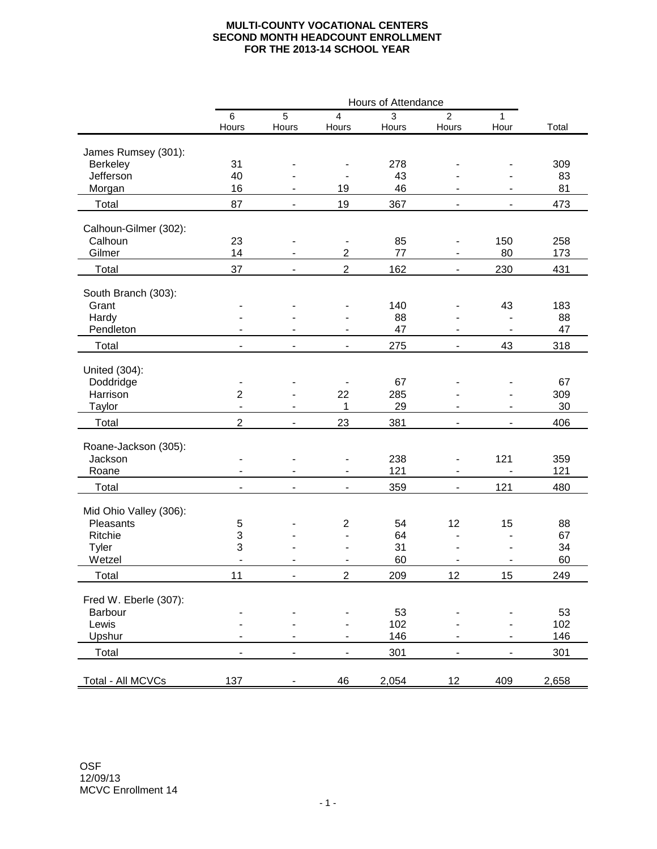## **MULTI-COUNTY VOCATIONAL CENTERS SECOND MONTH HEADCOUNT ENROLLMENT FOR THE 2013-14 SCHOOL YEAR**

|                              |                          |                |                              | Hours of Attendance |                          |                          |       |
|------------------------------|--------------------------|----------------|------------------------------|---------------------|--------------------------|--------------------------|-------|
|                              | $\,6$<br>Hours           | 5<br>Hours     | $\overline{4}$<br>Hours      | 3<br>Hours          | 2<br>Hours               | 1<br>Hour                | Total |
| James Rumsey (301):          |                          |                |                              |                     |                          |                          |       |
| Berkeley                     | 31                       |                |                              | 278                 |                          |                          | 309   |
| Jefferson                    | 40                       |                |                              | 43                  |                          |                          | 83    |
| Morgan                       | 16                       | $\blacksquare$ | 19                           | 46                  | $\blacksquare$           | $\blacksquare$           | 81    |
| Total                        | 87                       | $\blacksquare$ | 19                           | 367                 | $\overline{\phantom{a}}$ | $\overline{\phantom{a}}$ | 473   |
| Calhoun-Gilmer (302):        |                          |                |                              |                     |                          |                          |       |
| Calhoun                      | 23                       |                | $\overline{\phantom{a}}$     | 85                  | $\blacksquare$           | 150                      | 258   |
| Gilmer                       | 14                       |                | $\overline{2}$               | 77                  | $\overline{\phantom{a}}$ | 80                       | 173   |
| Total                        | 37                       | $\blacksquare$ | $\overline{2}$               | 162                 | $\overline{\phantom{a}}$ | 230                      | 431   |
|                              |                          |                |                              |                     |                          |                          |       |
| South Branch (303):<br>Grant |                          |                | $\qquad \qquad \blacksquare$ | 140                 | $\frac{1}{2}$            | 43                       | 183   |
| Hardy                        |                          |                |                              | 88                  |                          | $\overline{\phantom{a}}$ | 88    |
| Pendleton                    |                          |                | $\blacksquare$               | 47                  | $\blacksquare$           | $\blacksquare$           | 47    |
| Total                        | $\overline{\phantom{a}}$ |                | $\overline{\phantom{a}}$     | 275                 | $\overline{\phantom{a}}$ | 43                       | 318   |
|                              |                          |                |                              |                     |                          |                          |       |
| United (304):                |                          |                |                              |                     |                          |                          |       |
| Doddridge                    | $\blacksquare$           |                |                              | 67                  |                          |                          | 67    |
| Harrison                     | $\overline{2}$           |                | 22                           | 285                 |                          |                          | 309   |
| Taylor                       | $\overline{a}$           |                | 1                            | 29                  |                          |                          | 30    |
| Total                        | $\overline{2}$           | $\blacksquare$ | 23                           | 381                 | $\blacksquare$           | $\blacksquare$           | 406   |
|                              |                          |                |                              |                     |                          |                          |       |
| Roane-Jackson (305):         |                          |                |                              |                     |                          |                          |       |
| Jackson                      |                          |                | $\overline{\phantom{a}}$     | 238                 | $\overline{\phantom{a}}$ | 121                      | 359   |
| Roane                        |                          |                | $\blacksquare$               | 121                 |                          |                          | 121   |
| Total                        | $\blacksquare$           | $\blacksquare$ | $\overline{\phantom{a}}$     | 359                 | $\blacksquare$           | 121                      | 480   |
| Mid Ohio Valley (306):       |                          |                |                              |                     |                          |                          |       |
| Pleasants                    | 5                        |                | $\overline{2}$               | 54                  | 12                       | 15                       | 88    |
| Ritchie                      | 3                        |                |                              | 64                  |                          | $\overline{\phantom{a}}$ | 67    |
| Tyler                        | 3                        |                |                              | 31                  |                          |                          | 34    |
| Wetzel                       |                          |                |                              | 60                  |                          |                          | 60    |
| Total                        | 11                       |                | 2                            | 209                 | 12                       | 15                       | 249   |
| Fred W. Eberle (307):        |                          |                |                              |                     |                          |                          |       |
| Barbour                      |                          |                |                              | 53                  |                          |                          | 53    |
| Lewis                        |                          |                |                              | 102                 |                          |                          | 102   |
| Upshur                       |                          |                | $\blacksquare$               | 146                 |                          |                          | 146   |
| Total                        |                          |                | $\overline{\phantom{0}}$     | 301                 | $\overline{\phantom{a}}$ | $\overline{\phantom{m}}$ | 301   |
|                              |                          |                |                              |                     |                          |                          |       |
| Total - All MCVCs            | 137                      |                | 46                           | 2,054               | 12                       | 409                      | 2,658 |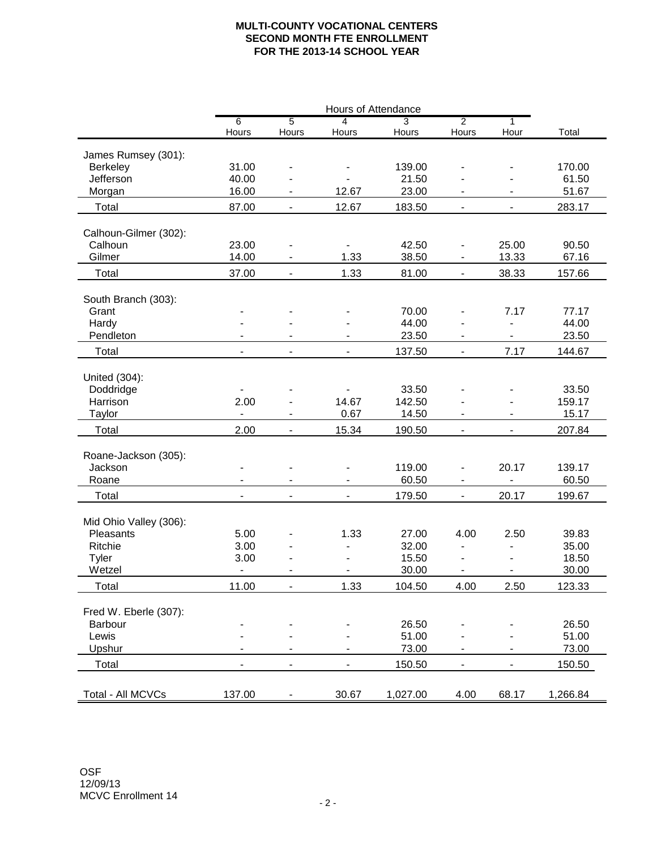## **MULTI-COUNTY VOCATIONAL CENTERS SECOND MONTH FTE ENROLLMENT FOR THE 2013-14 SCHOOL YEAR**

|                        | Hours of Attendance      |                              |                          |                |                              |                          |          |
|------------------------|--------------------------|------------------------------|--------------------------|----------------|------------------------------|--------------------------|----------|
|                        | 6                        | $\overline{5}$               | $\overline{4}$           | $\overline{3}$ | $\overline{2}$               | 1                        |          |
|                        | Hours                    | Hours                        | Hours                    | Hours          | Hours                        | Hour                     | Total    |
| James Rumsey (301):    |                          |                              |                          |                |                              |                          |          |
| Berkeley               | 31.00                    |                              |                          | 139.00         |                              |                          | 170.00   |
| Jefferson              | 40.00                    |                              |                          | 21.50          |                              |                          | 61.50    |
| Morgan                 | 16.00                    |                              | 23.00<br>12.67           |                |                              |                          | 51.67    |
| Total                  | 87.00                    | $\overline{\phantom{a}}$     | 12.67                    | 183.50         | $\overline{\phantom{a}}$     | $\overline{\phantom{0}}$ | 283.17   |
|                        |                          |                              |                          |                |                              |                          |          |
| Calhoun-Gilmer (302):  |                          |                              |                          |                |                              |                          |          |
| Calhoun                | 23.00                    |                              |                          | 42.50          |                              | 25.00                    | 90.50    |
| Gilmer                 | 14.00                    |                              | 1.33                     | 38.50          |                              | 13.33                    | 67.16    |
| Total                  | 37.00                    | $\blacksquare$               | 1.33                     | 81.00          | $\blacksquare$               | 38.33                    | 157.66   |
| South Branch (303):    |                          |                              |                          |                |                              |                          |          |
| Grant                  |                          |                              |                          | 70.00          |                              | 7.17                     | 77.17    |
| Hardy                  |                          |                              |                          | 44.00          |                              |                          | 44.00    |
| Pendleton              |                          |                              |                          | 23.50          | $\qquad \qquad \blacksquare$ |                          | 23.50    |
| Total                  | $\blacksquare$           |                              | $\overline{\phantom{0}}$ | 137.50         | $\overline{\phantom{a}}$     | 7.17                     | 144.67   |
|                        |                          |                              |                          |                |                              |                          |          |
| United (304):          |                          |                              |                          |                |                              |                          |          |
| Doddridge              | $\blacksquare$           |                              |                          | 33.50          |                              |                          | 33.50    |
| Harrison               | 2.00                     |                              | 14.67                    | 142.50         |                              |                          | 159.17   |
| Taylor                 | $\blacksquare$           | $\qquad \qquad \blacksquare$ | 0.67                     | 14.50          |                              |                          | 15.17    |
| Total                  | 2.00                     | $\blacksquare$               | 15.34                    | 190.50         | $\blacksquare$               | $\blacksquare$           | 207.84   |
|                        |                          |                              |                          |                |                              |                          |          |
| Roane-Jackson (305):   |                          |                              |                          |                |                              |                          |          |
| Jackson                |                          |                              |                          | 119.00         |                              | 20.17                    | 139.17   |
| Roane                  | $\overline{a}$           |                              |                          | 60.50          |                              | $\frac{1}{2}$            | 60.50    |
| Total                  | $\overline{a}$           | $\overline{a}$               | $\overline{a}$           | 179.50         | $\blacksquare$               | 20.17                    | 199.67   |
| Mid Ohio Valley (306): |                          |                              |                          |                |                              |                          |          |
| Pleasants              | 5.00                     |                              | 1.33                     | 27.00          | 4.00                         | 2.50                     | 39.83    |
| Ritchie                | 3.00                     |                              |                          | 32.00          |                              | $\overline{a}$           | 35.00    |
| Tyler                  | 3.00                     |                              |                          | 15.50          | $\overline{a}$               |                          | 18.50    |
| Wetzel                 | $\overline{\phantom{a}}$ |                              |                          | 30.00          | $\overline{\phantom{a}}$     | $\overline{\phantom{0}}$ | 30.00    |
| <b>Total</b>           | 11.00                    | $\qquad \qquad \blacksquare$ | 1.33                     | 104.50         | 4.00                         | 2.50                     | 123.33   |
|                        |                          |                              |                          |                |                              |                          |          |
| Fred W. Eberle (307):  |                          |                              |                          |                |                              |                          |          |
| Barbour                |                          |                              |                          | 26.50          |                              |                          | 26.50    |
| Lewis                  |                          |                              |                          | 51.00          |                              |                          | 51.00    |
| Upshur                 |                          |                              |                          | 73.00          |                              |                          | 73.00    |
| Total                  | $\blacksquare$           | $\overline{\phantom{a}}$     | $\overline{\phantom{0}}$ | 150.50         | $\overline{\phantom{a}}$     | $\overline{\phantom{0}}$ | 150.50   |
|                        |                          |                              |                          |                |                              |                          |          |
| Total - All MCVCs      | 137.00                   |                              | 30.67                    | 1,027.00       | 4.00                         | 68.17                    | 1,266.84 |